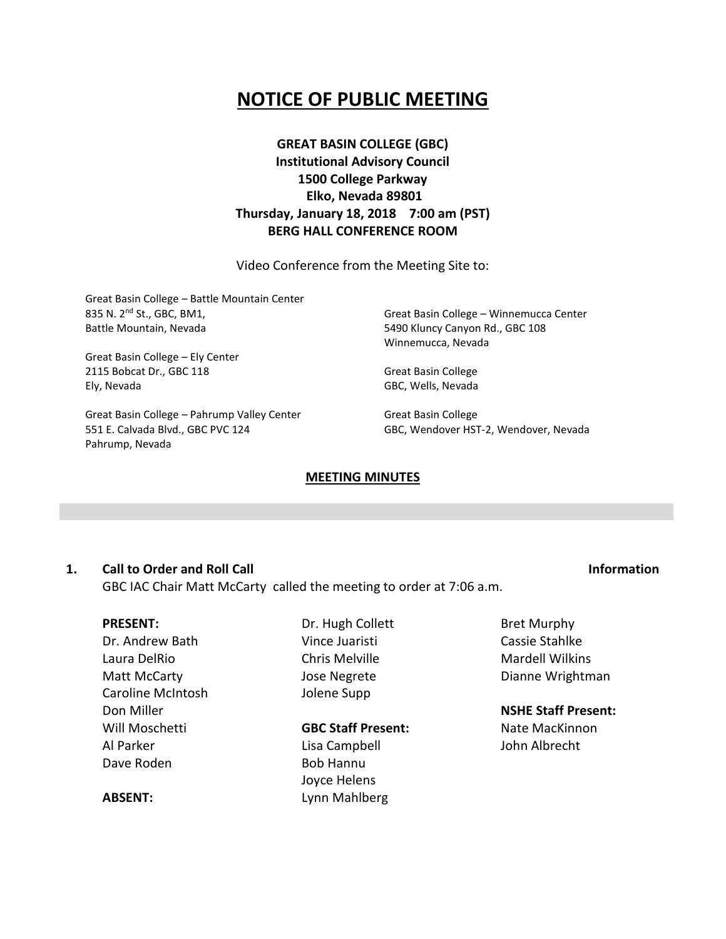# **NOTICE OF PUBLIC MEETING**

**GREAT BASIN COLLEGE (GBC) Institutional Advisory Council 1500 College Parkway Elko, Nevada 89801 Thursday, January 18, 2018 7:00 am (PST) BERG HALL CONFERENCE ROOM**

Video Conference from the Meeting Site to:

Great Basin College – Battle Mountain Center 835 N. 2nd St., GBC, BM1, Battle Mountain, Nevada

Great Basin College – Ely Center 2115 Bobcat Dr., GBC 118 Ely, Nevada

Great Basin College – Pahrump Valley Center 551 E. Calvada Blvd., GBC PVC 124 Pahrump, Nevada

Great Basin College – Winnemucca Center 5490 Kluncy Canyon Rd., GBC 108 Winnemucca, Nevada

Great Basin College GBC, Wells, Nevada

Great Basin College GBC, Wendover HST-2, Wendover, Nevada

#### **MEETING MINUTES**

### **1. Call to Order and Roll Call Information**

GBC IAC Chair Matt McCarty called the meeting to order at 7:06 a.m.

#### **PRESENT:**

**ABSENT:**

Dr. Andrew Bath Laura DelRio Matt McCarty Caroline McIntosh Don Miller Will Moschetti Al Parker Dave Roden

Dr. Hugh Collett Vince Juaristi Chris Melville Jose Negrete Jolene Supp

# **GBC Staff Present:**

Lisa Campbell Bob Hannu Joyce Helens Lynn Mahlberg Bret Murphy Cassie Stahlke Mardell Wilkins Dianne Wrightman

### **NSHE Staff Present:**

Nate MacKinnon John Albrecht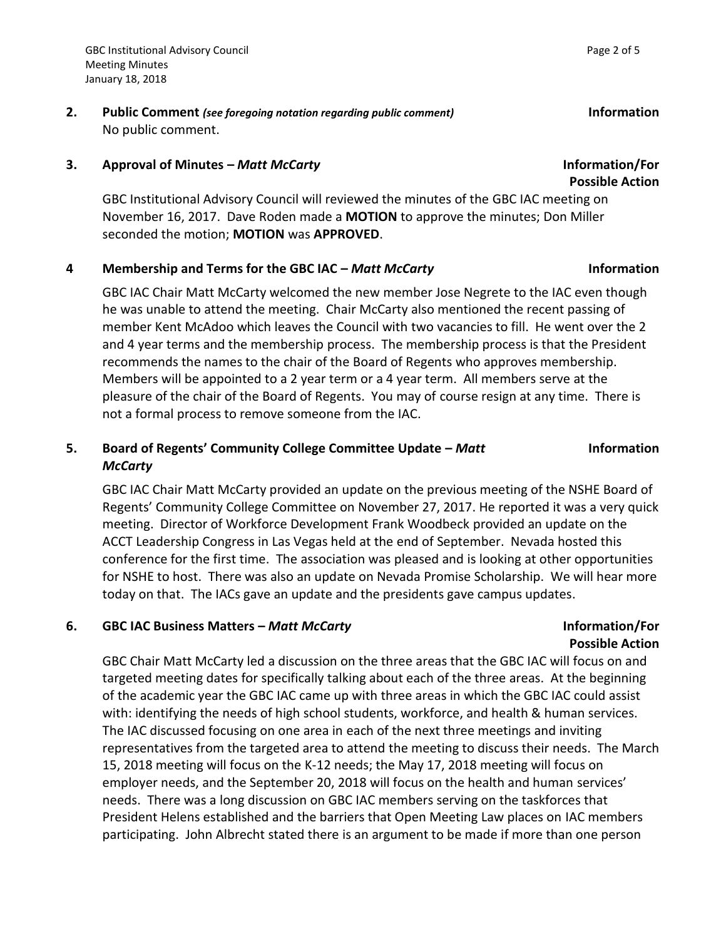**2. Public Comment** *(see foregoing notation regarding public comment)* **Information** No public comment.

### **3. Approval of Minutes –** *Matt McCarty* **Information/For**

GBC Institutional Advisory Council will reviewed the minutes of the GBC IAC meeting on November 16, 2017. Dave Roden made a **MOTION** to approve the minutes; Don Miller seconded the motion; **MOTION** was **APPROVED**.

## **4 Membership and Terms for the GBC IAC –** *Matt McCarty* **Information**

GBC IAC Chair Matt McCarty welcomed the new member Jose Negrete to the IAC even though he was unable to attend the meeting. Chair McCarty also mentioned the recent passing of member Kent McAdoo which leaves the Council with two vacancies to fill. He went over the 2 and 4 year terms and the membership process. The membership process is that the President recommends the names to the chair of the Board of Regents who approves membership. Members will be appointed to a 2 year term or a 4 year term. All members serve at the pleasure of the chair of the Board of Regents. You may of course resign at any time. There is not a formal process to remove someone from the IAC.

# **5. Board of Regents' Community College Committee Update –** *Matt McCarty*

GBC IAC Chair Matt McCarty provided an update on the previous meeting of the NSHE Board of Regents' Community College Committee on November 27, 2017. He reported it was a very quick meeting. Director of Workforce Development Frank Woodbeck provided an update on the ACCT Leadership Congress in Las Vegas held at the end of September. Nevada hosted this conference for the first time. The association was pleased and is looking at other opportunities for NSHE to host. There was also an update on Nevada Promise Scholarship. We will hear more today on that. The IACs gave an update and the presidents gave campus updates.

## **6. GBC IAC Business Matters –** *Matt McCarty* **Information/For**

**Possible Action** GBC Chair Matt McCarty led a discussion on the three areas that the GBC IAC will focus on and targeted meeting dates for specifically talking about each of the three areas. At the beginning of the academic year the GBC IAC came up with three areas in which the GBC IAC could assist with: identifying the needs of high school students, workforce, and health & human services. The IAC discussed focusing on one area in each of the next three meetings and inviting representatives from the targeted area to attend the meeting to discuss their needs. The March 15, 2018 meeting will focus on the K-12 needs; the May 17, 2018 meeting will focus on employer needs, and the September 20, 2018 will focus on the health and human services' needs. There was a long discussion on GBC IAC members serving on the taskforces that President Helens established and the barriers that Open Meeting Law places on IAC members participating. John Albrecht stated there is an argument to be made if more than one person

**Possible Action**

**Information**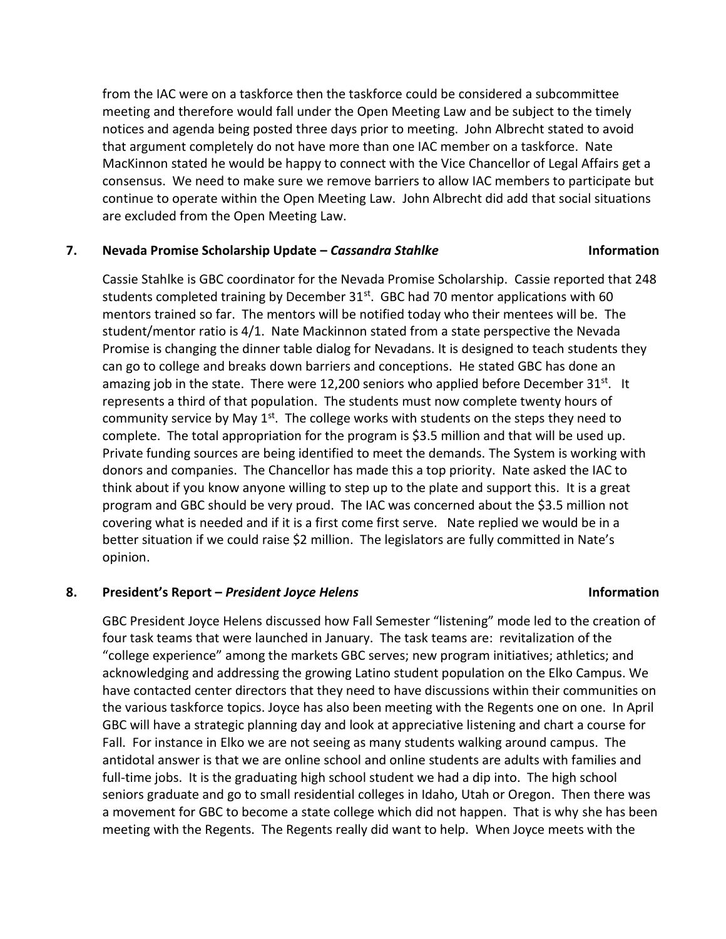from the IAC were on a taskforce then the taskforce could be considered a subcommittee meeting and therefore would fall under the Open Meeting Law and be subject to the timely notices and agenda being posted three days prior to meeting. John Albrecht stated to avoid that argument completely do not have more than one IAC member on a taskforce. Nate MacKinnon stated he would be happy to connect with the Vice Chancellor of Legal Affairs get a consensus. We need to make sure we remove barriers to allow IAC members to participate but continue to operate within the Open Meeting Law. John Albrecht did add that social situations are excluded from the Open Meeting Law.

## **7. Nevada Promise Scholarship Update –** *Cassandra Stahlke* **Information**

Cassie Stahlke is GBC coordinator for the Nevada Promise Scholarship. Cassie reported that 248 students completed training by December  $31<sup>st</sup>$ . GBC had 70 mentor applications with 60 mentors trained so far. The mentors will be notified today who their mentees will be. The student/mentor ratio is 4/1. Nate Mackinnon stated from a state perspective the Nevada Promise is changing the dinner table dialog for Nevadans. It is designed to teach students they can go to college and breaks down barriers and conceptions. He stated GBC has done an amazing job in the state. There were 12,200 seniors who applied before December 31<sup>st</sup>. It represents a third of that population. The students must now complete twenty hours of community service by May  $1<sup>st</sup>$ . The college works with students on the steps they need to complete. The total appropriation for the program is \$3.5 million and that will be used up. Private funding sources are being identified to meet the demands. The System is working with donors and companies. The Chancellor has made this a top priority. Nate asked the IAC to think about if you know anyone willing to step up to the plate and support this. It is a great program and GBC should be very proud. The IAC was concerned about the \$3.5 million not covering what is needed and if it is a first come first serve. Nate replied we would be in a better situation if we could raise \$2 million. The legislators are fully committed in Nate's opinion.

# **8. President's Report –** *President Joyce Helens* **Information**

GBC President Joyce Helens discussed how Fall Semester "listening" mode led to the creation of four task teams that were launched in January. The task teams are: revitalization of the "college experience" among the markets GBC serves; new program initiatives; athletics; and acknowledging and addressing the growing Latino student population on the Elko Campus. We have contacted center directors that they need to have discussions within their communities on the various taskforce topics. Joyce has also been meeting with the Regents one on one. In April GBC will have a strategic planning day and look at appreciative listening and chart a course for Fall. For instance in Elko we are not seeing as many students walking around campus. The antidotal answer is that we are online school and online students are adults with families and full-time jobs. It is the graduating high school student we had a dip into. The high school seniors graduate and go to small residential colleges in Idaho, Utah or Oregon. Then there was a movement for GBC to become a state college which did not happen. That is why she has been meeting with the Regents. The Regents really did want to help. When Joyce meets with the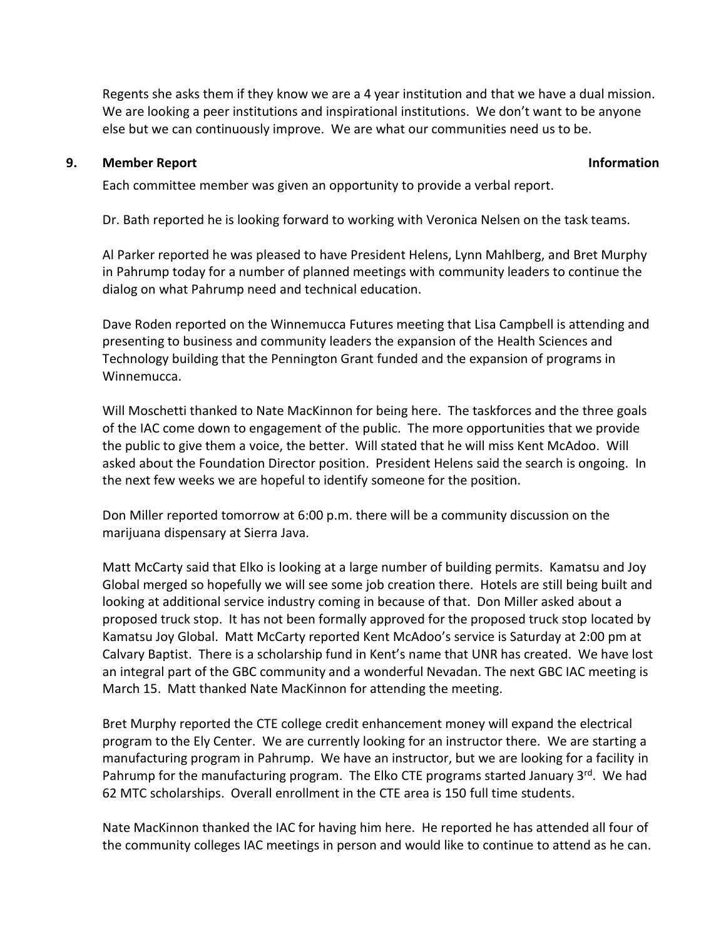Regents she asks them if they know we are a 4 year institution and that we have a dual mission. We are looking a peer institutions and inspirational institutions. We don't want to be anyone else but we can continuously improve. We are what our communities need us to be.

### **9. Member Report Information**

Each committee member was given an opportunity to provide a verbal report.

Dr. Bath reported he is looking forward to working with Veronica Nelsen on the task teams.

Al Parker reported he was pleased to have President Helens, Lynn Mahlberg, and Bret Murphy in Pahrump today for a number of planned meetings with community leaders to continue the dialog on what Pahrump need and technical education.

Dave Roden reported on the Winnemucca Futures meeting that Lisa Campbell is attending and presenting to business and community leaders the expansion of the Health Sciences and Technology building that the Pennington Grant funded and the expansion of programs in Winnemucca.

Will Moschetti thanked to Nate MacKinnon for being here. The taskforces and the three goals of the IAC come down to engagement of the public. The more opportunities that we provide the public to give them a voice, the better. Will stated that he will miss Kent McAdoo. Will asked about the Foundation Director position. President Helens said the search is ongoing. In the next few weeks we are hopeful to identify someone for the position.

Don Miller reported tomorrow at 6:00 p.m. there will be a community discussion on the marijuana dispensary at Sierra Java.

Matt McCarty said that Elko is looking at a large number of building permits. Kamatsu and Joy Global merged so hopefully we will see some job creation there. Hotels are still being built and looking at additional service industry coming in because of that. Don Miller asked about a proposed truck stop. It has not been formally approved for the proposed truck stop located by Kamatsu Joy Global. Matt McCarty reported Kent McAdoo's service is Saturday at 2:00 pm at Calvary Baptist. There is a scholarship fund in Kent's name that UNR has created. We have lost an integral part of the GBC community and a wonderful Nevadan. The next GBC IAC meeting is March 15. Matt thanked Nate MacKinnon for attending the meeting.

Bret Murphy reported the CTE college credit enhancement money will expand the electrical program to the Ely Center. We are currently looking for an instructor there. We are starting a manufacturing program in Pahrump. We have an instructor, but we are looking for a facility in Pahrump for the manufacturing program. The Elko CTE programs started January 3<sup>rd</sup>. We had 62 MTC scholarships. Overall enrollment in the CTE area is 150 full time students.

Nate MacKinnon thanked the IAC for having him here. He reported he has attended all four of the community colleges IAC meetings in person and would like to continue to attend as he can.